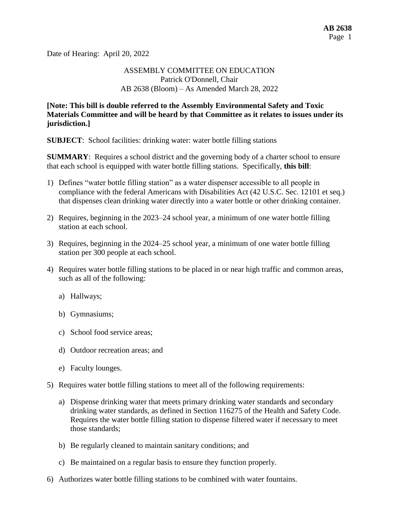Date of Hearing: April 20, 2022

## ASSEMBLY COMMITTEE ON EDUCATION Patrick O'Donnell, Chair AB 2638 (Bloom) – As Amended March 28, 2022

### **[Note: This bill is double referred to the Assembly Environmental Safety and Toxic Materials Committee and will be heard by that Committee as it relates to issues under its jurisdiction.]**

**SUBJECT:** School facilities: drinking water: water bottle filling stations

**SUMMARY:** Requires a school district and the governing body of a charter school to ensure that each school is equipped with water bottle filling stations. Specifically, **this bill**:

- 1) Defines "water bottle filling station" as a water dispenser accessible to all people in compliance with the federal Americans with Disabilities Act (42 U.S.C. Sec. 12101 et seq.) that dispenses clean drinking water directly into a water bottle or other drinking container.
- 2) Requires, beginning in the 2023–24 school year, a minimum of one water bottle filling station at each school.
- 3) Requires, beginning in the 2024–25 school year, a minimum of one water bottle filling station per 300 people at each school.
- 4) Requires water bottle filling stations to be placed in or near high traffic and common areas, such as all of the following:
	- a) Hallways;
	- b) Gymnasiums;
	- c) School food service areas;
	- d) Outdoor recreation areas; and
	- e) Faculty lounges.
- 5) Requires water bottle filling stations to meet all of the following requirements:
	- a) Dispense drinking water that meets primary drinking water standards and secondary drinking water standards, as defined in Section 116275 of the Health and Safety Code. Requires the water bottle filling station to dispense filtered water if necessary to meet those standards;
	- b) Be regularly cleaned to maintain sanitary conditions; and
	- c) Be maintained on a regular basis to ensure they function properly.
- 6) Authorizes water bottle filling stations to be combined with water fountains.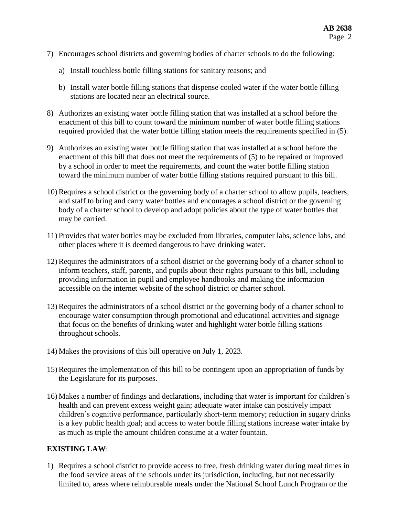- 7) Encourages school districts and governing bodies of charter schools to do the following:
	- a) Install touchless bottle filling stations for sanitary reasons; and
	- b) Install water bottle filling stations that dispense cooled water if the water bottle filling stations are located near an electrical source.
- 8) Authorizes an existing water bottle filling station that was installed at a school before the enactment of this bill to count toward the minimum number of water bottle filling stations required provided that the water bottle filling station meets the requirements specified in (5).
- 9) Authorizes an existing water bottle filling station that was installed at a school before the enactment of this bill that does not meet the requirements of (5) to be repaired or improved by a school in order to meet the requirements, and count the water bottle filling station toward the minimum number of water bottle filling stations required pursuant to this bill.
- 10) Requires a school district or the governing body of a charter school to allow pupils, teachers, and staff to bring and carry water bottles and encourages a school district or the governing body of a charter school to develop and adopt policies about the type of water bottles that may be carried.
- 11) Provides that water bottles may be excluded from libraries, computer labs, science labs, and other places where it is deemed dangerous to have drinking water.
- 12) Requires the administrators of a school district or the governing body of a charter school to inform teachers, staff, parents, and pupils about their rights pursuant to this bill, including providing information in pupil and employee handbooks and making the information accessible on the internet website of the school district or charter school.
- 13) Requires the administrators of a school district or the governing body of a charter school to encourage water consumption through promotional and educational activities and signage that focus on the benefits of drinking water and highlight water bottle filling stations throughout schools.
- 14) Makes the provisions of this bill operative on July 1, 2023.
- 15) Requires the implementation of this bill to be contingent upon an appropriation of funds by the Legislature for its purposes.
- 16) Makes a number of findings and declarations, including that water is important for children's health and can prevent excess weight gain; adequate water intake can positively impact children's cognitive performance, particularly short-term memory; reduction in sugary drinks is a key public health goal; and access to water bottle filling stations increase water intake by as much as triple the amount children consume at a water fountain.

# **EXISTING LAW**:

1) Requires a school district to provide access to free, fresh drinking water during meal times in the food service areas of the schools under its jurisdiction, including, but not necessarily limited to, areas where reimbursable meals under the National School Lunch Program or the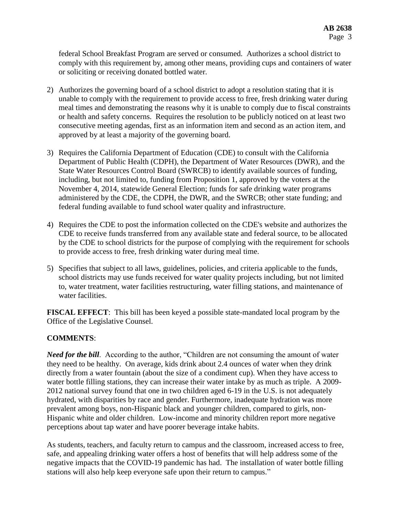federal School Breakfast Program are served or consumed. Authorizes a school district to comply with this requirement by, among other means, providing cups and containers of water or soliciting or receiving donated bottled water.

- 2) Authorizes the governing board of a school district to adopt a resolution stating that it is unable to comply with the requirement to provide access to free, fresh drinking water during meal times and demonstrating the reasons why it is unable to comply due to fiscal constraints or health and safety concerns. Requires the resolution to be publicly noticed on at least two consecutive meeting agendas, first as an information item and second as an action item, and approved by at least a majority of the governing board.
- 3) Requires the California Department of Education (CDE) to consult with the California Department of Public Health (CDPH), the Department of Water Resources (DWR), and the State Water Resources Control Board (SWRCB) to identify available sources of funding, including, but not limited to, funding from Proposition 1, approved by the voters at the November 4, 2014, statewide General Election; funds for safe drinking water programs administered by the CDE, the CDPH, the DWR, and the SWRCB; other state funding; and federal funding available to fund school water quality and infrastructure.
- 4) Requires the CDE to post the information collected on the CDE's website and authorizes the CDE to receive funds transferred from any available state and federal source, to be allocated by the CDE to school districts for the purpose of complying with the requirement for schools to provide access to free, fresh drinking water during meal time.
- 5) Specifies that subject to all laws, guidelines, policies, and criteria applicable to the funds, school districts may use funds received for water quality projects including, but not limited to, water treatment, water facilities restructuring, water filling stations, and maintenance of water facilities.

**FISCAL EFFECT**: This bill has been keyed a possible state-mandated local program by the Office of the Legislative Counsel.

# **COMMENTS**:

*Need for the bill.* According to the author, "Children are not consuming the amount of water they need to be healthy. On average, kids drink about 2.4 ounces of water when they drink directly from a water fountain (about the size of a condiment cup). When they have access to water bottle filling stations, they can increase their water intake by as much as triple. A 2009- 2012 national survey found that one in two children aged 6-19 in the U.S. is not adequately hydrated, with disparities by race and gender. Furthermore, inadequate hydration was more prevalent among boys, non-Hispanic black and younger children, compared to girls, non-Hispanic white and older children. Low-income and minority children report more negative perceptions about tap water and have poorer beverage intake habits.

As students, teachers, and faculty return to campus and the classroom, increased access to free, safe, and appealing drinking water offers a host of benefits that will help address some of the negative impacts that the COVID-19 pandemic has had. The installation of water bottle filling stations will also help keep everyone safe upon their return to campus."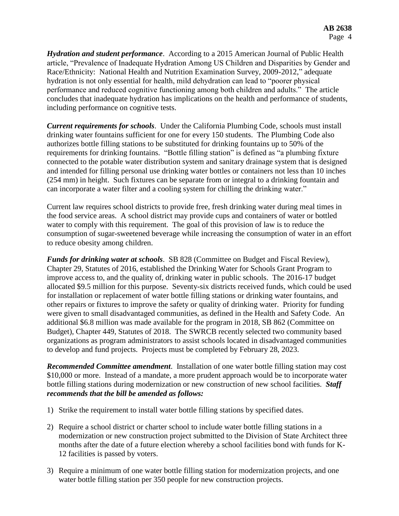*Hydration and student performance*. According to a 2015 American Journal of Public Health article, "Prevalence of Inadequate Hydration Among US Children and Disparities by Gender and Race/Ethnicity: National Health and Nutrition Examination Survey, 2009-2012," adequate hydration is not only essential for health, mild dehydration can lead to "poorer physical performance and reduced cognitive functioning among both children and adults." The article concludes that inadequate hydration has implications on the health and performance of students, including performance on cognitive tests.

*Current requirements for schools*. Under the California Plumbing Code, schools must install drinking water fountains sufficient for one for every 150 students. The Plumbing Code also authorizes bottle filling stations to be substituted for drinking fountains up to 50% of the requirements for drinking fountains. "Bottle filling station" is defined as "a plumbing fixture connected to the potable water distribution system and sanitary drainage system that is designed and intended for filling personal use drinking water bottles or containers not less than 10 inches (254 mm) in height. Such fixtures can be separate from or integral to a drinking fountain and can incorporate a water filter and a cooling system for chilling the drinking water."

Current law requires school districts to provide free, fresh drinking water during meal times in the food service areas. A school district may provide cups and containers of water or bottled water to comply with this requirement. The goal of this provision of law is to reduce the consumption of sugar-sweetened beverage while increasing the consumption of water in an effort to reduce obesity among children.

*Funds for drinking water at schools*. SB 828 (Committee on Budget and Fiscal Review), Chapter 29, Statutes of 2016, established the Drinking Water for Schools Grant Program to improve access to, and the quality of, drinking water in public schools. The 2016-17 budget allocated \$9.5 million for this purpose. Seventy-six districts received funds, which could be used for installation or replacement of water bottle filling stations or drinking water fountains, and other repairs or fixtures to improve the safety or quality of drinking water. Priority for funding were given to small disadvantaged communities, as defined in the Health and Safety Code. An additional \$6.8 million was made available for the program in 2018, SB 862 (Committee on Budget), Chapter 449, Statutes of 2018. The SWRCB recently selected two community based organizations as program administrators to assist schools located in disadvantaged communities to develop and fund projects. Projects must be completed by February 28, 2023.

*Recommended Committee amendment*. Installation of one water bottle filling station may cost \$10,000 or more. Instead of a mandate, a more prudent approach would be to incorporate water bottle filling stations during modernization or new construction of new school facilities. *Staff recommends that the bill be amended as follows:*

- 1) Strike the requirement to install water bottle filling stations by specified dates.
- 2) Require a school district or charter school to include water bottle filling stations in a modernization or new construction project submitted to the Division of State Architect three months after the date of a future election whereby a school facilities bond with funds for K-12 facilities is passed by voters.
- 3) Require a minimum of one water bottle filling station for modernization projects, and one water bottle filling station per 350 people for new construction projects.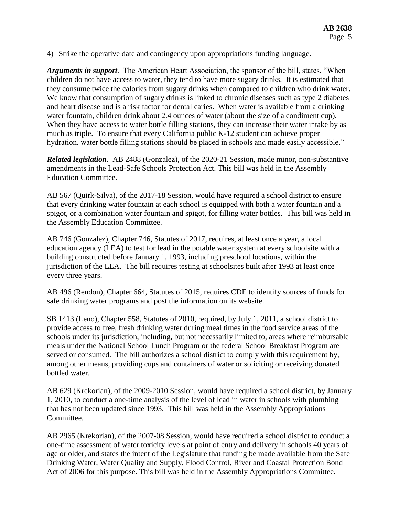4) Strike the operative date and contingency upon appropriations funding language.

*Arguments in support*. The American Heart Association, the sponsor of the bill, states, "When children do not have access to water, they tend to have more sugary drinks. It is estimated that they consume twice the calories from sugary drinks when compared to children who drink water. We know that consumption of sugary drinks is linked to chronic diseases such as type 2 diabetes and heart disease and is a risk factor for dental caries. When water is available from a drinking water fountain, children drink about 2.4 ounces of water (about the size of a condiment cup). When they have access to water bottle filling stations, they can increase their water intake by as much as triple. To ensure that every California public K-12 student can achieve proper hydration, water bottle filling stations should be placed in schools and made easily accessible."

*Related legislation*. AB 2488 (Gonzalez), of the 2020-21 Session, made minor, non-substantive amendments in the Lead-Safe Schools Protection Act. This bill was held in the Assembly Education Committee.

AB 567 (Quirk-Silva), of the 2017-18 Session, would have required a school district to ensure that every drinking water fountain at each school is equipped with both a water fountain and a spigot, or a combination water fountain and spigot, for filling water bottles. This bill was held in the Assembly Education Committee.

AB 746 (Gonzalez), Chapter 746, Statutes of 2017, requires, at least once a year, a local education agency (LEA) to test for lead in the potable water system at every schoolsite with a building constructed before January 1, 1993, including preschool locations, within the jurisdiction of the LEA. The bill requires testing at schoolsites built after 1993 at least once every three years.

AB 496 (Rendon), Chapter 664, Statutes of 2015, requires CDE to identify sources of funds for safe drinking water programs and post the information on its website.

SB 1413 (Leno), Chapter 558, Statutes of 2010, required, by July 1, 2011, a school district to provide access to free, fresh drinking water during meal times in the food service areas of the schools under its jurisdiction, including, but not necessarily limited to, areas where reimbursable meals under the National School Lunch Program or the federal School Breakfast Program are served or consumed. The bill authorizes a school district to comply with this requirement by, among other means, providing cups and containers of water or soliciting or receiving donated bottled water.

AB 629 (Krekorian), of the 2009-2010 Session, would have required a school district, by January 1, 2010, to conduct a one-time analysis of the level of lead in water in schools with plumbing that has not been updated since 1993. This bill was held in the Assembly Appropriations Committee.

AB 2965 (Krekorian), of the 2007-08 Session, would have required a school district to conduct a one-time assessment of water toxicity levels at point of entry and delivery in schools 40 years of age or older, and states the intent of the Legislature that funding be made available from the Safe Drinking Water, Water Quality and Supply, Flood Control, River and Coastal Protection Bond Act of 2006 for this purpose. This bill was held in the Assembly Appropriations Committee.